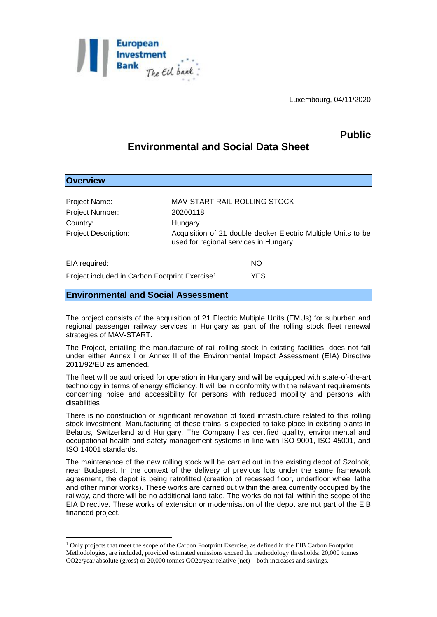

Luxembourg, 04/11/2020

## **Public**

# **Environmental and Social Data Sheet**

| <b>Overview</b>                                              |                                                                                                         |                              |  |
|--------------------------------------------------------------|---------------------------------------------------------------------------------------------------------|------------------------------|--|
|                                                              |                                                                                                         |                              |  |
| Project Name:                                                |                                                                                                         | MAV-START RAIL ROLLING STOCK |  |
| Project Number:                                              | 20200118                                                                                                |                              |  |
| Country:                                                     | Hungary                                                                                                 |                              |  |
| <b>Project Description:</b>                                  | Acquisition of 21 double decker Electric Multiple Units to be<br>used for regional services in Hungary. |                              |  |
| EIA required:                                                |                                                                                                         | NO                           |  |
| Project included in Carbon Footprint Exercise <sup>1</sup> : |                                                                                                         | YES.                         |  |

## **Environmental and Social Assessment**

1

The project consists of the acquisition of 21 Electric Multiple Units (EMUs) for suburban and regional passenger railway services in Hungary as part of the rolling stock fleet renewal strategies of MAV-START.

The Project, entailing the manufacture of rail rolling stock in existing facilities, does not fall under either Annex I or Annex II of the Environmental Impact Assessment (EIA) Directive 2011/92/EU as amended.

The fleet will be authorised for operation in Hungary and will be equipped with state-of-the-art technology in terms of energy efficiency. It will be in conformity with the relevant requirements concerning noise and accessibility for persons with reduced mobility and persons with disabilities

There is no construction or significant renovation of fixed infrastructure related to this rolling stock investment. Manufacturing of these trains is expected to take place in existing plants in Belarus, Switzerland and Hungary. The Company has certified quality, environmental and occupational health and safety management systems in line with ISO 9001, ISO 45001, and ISO 14001 standards.

The maintenance of the new rolling stock will be carried out in the existing depot of Szolnok, near Budapest. In the context of the delivery of previous lots under the same framework agreement, the depot is being retrofitted (creation of recessed floor, underfloor wheel lathe and other minor works). These works are carried out within the area currently occupied by the railway, and there will be no additional land take. The works do not fall within the scope of the EIA Directive. These works of extension or modernisation of the depot are not part of the EIB financed project.

<sup>1</sup> Only projects that meet the scope of the Carbon Footprint Exercise, as defined in the EIB Carbon Footprint Methodologies, are included, provided estimated emissions exceed the methodology thresholds: 20,000 tonnes CO2e/year absolute (gross) or 20,000 tonnes CO2e/year relative (net) – both increases and savings.